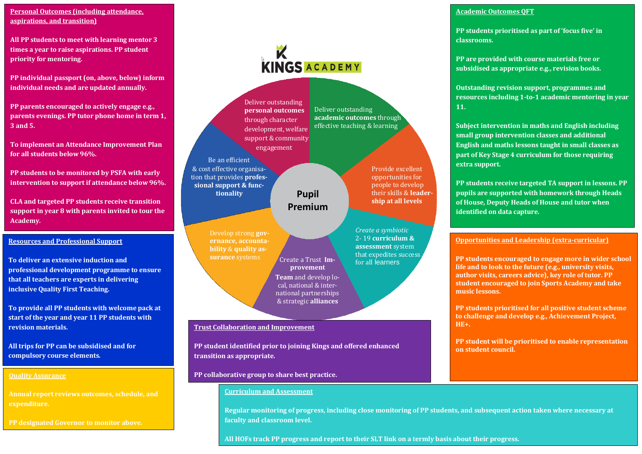**Personal Outcomes (including attendance, aspirations, and transition)**

**All PP students to meet with learning mentor 3 times a year to raise aspirations. PP student priority for mentoring.**

**PP individual passport (on, above, below) inform individual needs and are updated annually.**

**PP parents encouraged to actively engage e.g., parents evenings. PP tutor phone home in term 1, 3 and 5.** 

**To implement an Attendance Improvement Plan for all students below 96%.**

**PP students to be monitored by PSFA with early intervention to support if attendance below 96%.**

**CLA and targeted PP students receive transition support in year 8 with parents invited to tour the Academy.** 

#### **Resources and Professional Support**

**To deliver an extensive induction and professional development programme to ensure that all teachers are experts in delivering inclusive Quality First Teaching.**

**To provide all PP students with welcome pack at start of the year and year 11 PP students with revision materials.** 

**All trips for PP can be subsidised and for compulsory course elements.**

#### **Quality Assurance**

**Annual report reviews outcomes, schedule, and expenditure.**

**PP designated Governor to monitor above.**

# **K**<br>KINGS ACADEMY

Deliver outstanding

**academic outcomes** through effective teaching & learning

> Provide excellent opportunities for people to develop their skills & **leadership at all levels**

*Create a symbiotic*  2- 19 **curriculum & assessment** system that expedites success<br>for all learners

Deliver outstanding **personal outcomes** through character development, welfare support & community engagement

Be an efficient

& cost effective organisation that provides **professional support & func-**

**Pupil Premium**

**provement**

**Create a Trust Im-Team** and develop local, national & international partnerships & strategic **alliances** Develop strong **governance, accountability** & **quality assurance** systems

#### **Trust Collaboration and Improvement**

**PP student identified prior to joining Kings and offered enhanced transition as appropriate.**

#### **PP collaborative group to share best practice.**

#### **Curriculum and Assessment**

**Regular monitoring of progress, including close monitoring of PP students, and subsequent action taken where necessary at faculty and classroom level.** 

**All HOFs track PP progress and report to their SLT link on a termly basis about their progress.**

#### **Academic Outcomes QFT**

**PP students prioritised as part of 'focus five' in classrooms.**

**PP are provided with course materials free or subsidised as appropriate e.g., revision books.**

**Outstanding revision support, programmes and resources including 1-to-1 academic mentoring in year 11.**

**Subject intervention in maths and English including small group intervention classes and additional English and maths lessons taught in small classes as part of Key Stage 4 curriculum for those requiring extra support.** 

**PP students receive targeted TA support in lessons. PP pupils are supported with homework through Heads of House, Deputy Heads of House and tutor when identified on data capture.**

#### **Opportunities and Leadership (extra-curricular)**

**PP students encouraged to engage more in wider school life and to look to the future (e.g., university visits, author visits, careers advice), key role of tutor. PP student encouraged to join Sports Academy and take music lessons.**

**PP students prioritised for all positive student scheme to challenge and develop e.g., Achievement Project, HE+.**

**PP student will be prioritised to enable representation on student council.**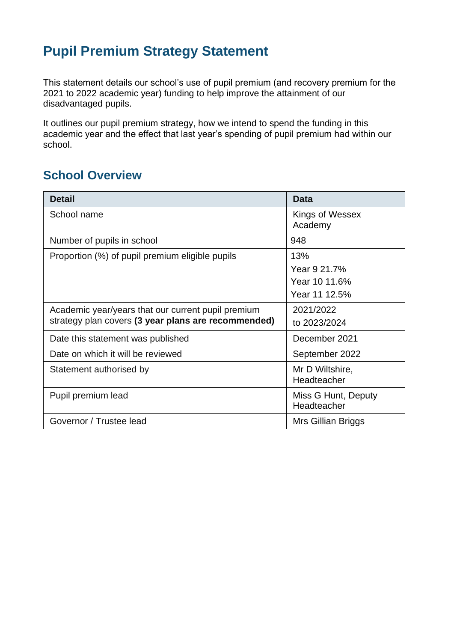# **Pupil Premium Strategy Statement**

This statement details our school's use of pupil premium (and recovery premium for the 2021 to 2022 academic year) funding to help improve the attainment of our disadvantaged pupils.

It outlines our pupil premium strategy, how we intend to spend the funding in this academic year and the effect that last year's spending of pupil premium had within our school.

### **School Overview**

| <b>Detail</b>                                       | <b>Data</b>                        |
|-----------------------------------------------------|------------------------------------|
| School name                                         | Kings of Wessex<br>Academy         |
| Number of pupils in school                          | 948                                |
| Proportion (%) of pupil premium eligible pupils     | 13%                                |
|                                                     | Year 9 21.7%                       |
|                                                     | Year 10 11.6%                      |
|                                                     | Year 11 12.5%                      |
| Academic year/years that our current pupil premium  | 2021/2022                          |
| strategy plan covers (3 year plans are recommended) | to 2023/2024                       |
| Date this statement was published                   | December 2021                      |
| Date on which it will be reviewed                   | September 2022                     |
| Statement authorised by                             | Mr D Wiltshire,<br>Headteacher     |
| Pupil premium lead                                  | Miss G Hunt, Deputy<br>Headteacher |
| Governor / Trustee lead                             | Mrs Gillian Briggs                 |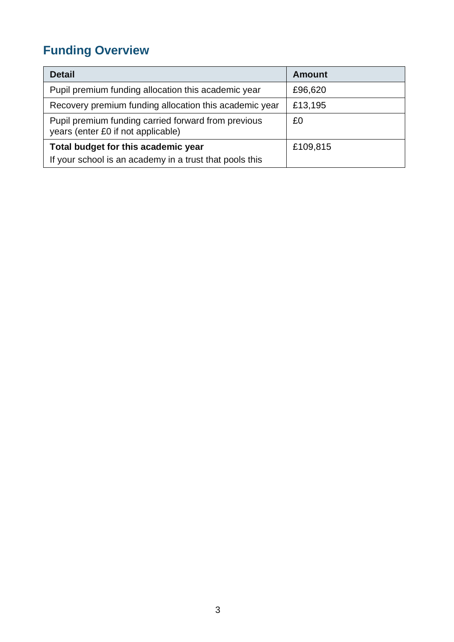# **Funding Overview**

| <b>Detail</b>                                                                             | Amount   |
|-------------------------------------------------------------------------------------------|----------|
| Pupil premium funding allocation this academic year                                       | £96,620  |
| Recovery premium funding allocation this academic year                                    | £13,195  |
| Pupil premium funding carried forward from previous<br>years (enter £0 if not applicable) | £0       |
| Total budget for this academic year                                                       | £109,815 |
| If your school is an academy in a trust that pools this                                   |          |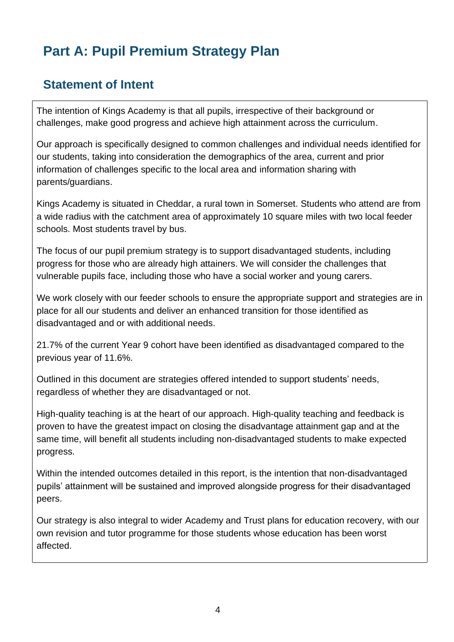# **Part A: Pupil Premium Strategy Plan**

### **Statement of Intent**

The intention of Kings Academy is that all pupils, irrespective of their background or challenges, make good progress and achieve high attainment across the curriculum.

Our approach is specifically designed to common challenges and individual needs identified for our students, taking into consideration the demographics of the area, current and prior information of challenges specific to the local area and information sharing with parents/guardians.

Kings Academy is situated in Cheddar, a rural town in Somerset. Students who attend are from a wide radius with the catchment area of approximately 10 square miles with two local feeder schools. Most students travel by bus.

The focus of our pupil premium strategy is to support disadvantaged students, including progress for those who are already high attainers. We will consider the challenges that vulnerable pupils face, including those who have a social worker and young carers.

We work closely with our feeder schools to ensure the appropriate support and strategies are in place for all our students and deliver an enhanced transition for those identified as disadvantaged and or with additional needs.

21.7% of the current Year 9 cohort have been identified as disadvantaged compared to the previous year of 11.6%.

Outlined in this document are strategies offered intended to support students' needs, regardless of whether they are disadvantaged or not.

High-quality teaching is at the heart of our approach. High-quality teaching and feedback is proven to have the greatest impact on closing the disadvantage attainment gap and at the same time, will benefit all students including non-disadvantaged students to make expected progress.

Within the intended outcomes detailed in this report, is the intention that non-disadvantaged pupils' attainment will be sustained and improved alongside progress for their disadvantaged peers.

Our strategy is also integral to wider Academy and Trust plans for education recovery, with our own revision and tutor programme for those students whose education has been worst affected.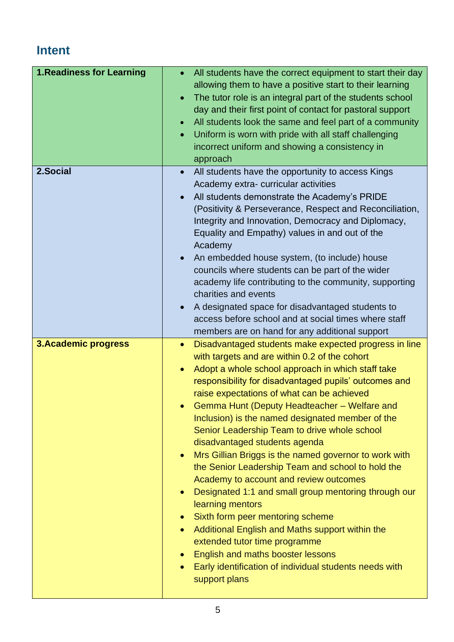# **Intent**

| 1. Readiness for Learning   | All students have the correct equipment to start their day<br>$\bullet$<br>allowing them to have a positive start to their learning<br>The tutor role is an integral part of the students school<br>$\bullet$<br>day and their first point of contact for pastoral support<br>All students look the same and feel part of a community<br>$\bullet$<br>Uniform is worn with pride with all staff challenging<br>$\bullet$<br>incorrect uniform and showing a consistency in<br>approach                                                                                                                                                                                                                                                                                                                                                                                                                                                                                                                                                      |
|-----------------------------|---------------------------------------------------------------------------------------------------------------------------------------------------------------------------------------------------------------------------------------------------------------------------------------------------------------------------------------------------------------------------------------------------------------------------------------------------------------------------------------------------------------------------------------------------------------------------------------------------------------------------------------------------------------------------------------------------------------------------------------------------------------------------------------------------------------------------------------------------------------------------------------------------------------------------------------------------------------------------------------------------------------------------------------------|
| 2.Social                    | All students have the opportunity to access Kings<br>$\bullet$<br>Academy extra-curricular activities<br>All students demonstrate the Academy's PRIDE<br>$\bullet$<br>(Positivity & Perseverance, Respect and Reconciliation,<br>Integrity and Innovation, Democracy and Diplomacy,<br>Equality and Empathy) values in and out of the<br>Academy<br>An embedded house system, (to include) house<br>$\bullet$<br>councils where students can be part of the wider<br>academy life contributing to the community, supporting<br>charities and events<br>A designated space for disadvantaged students to<br>$\bullet$<br>access before school and at social times where staff<br>members are on hand for any additional support                                                                                                                                                                                                                                                                                                              |
| <b>3. Academic progress</b> | Disadvantaged students make expected progress in line<br>$\bullet$<br>with targets and are within 0.2 of the cohort<br>Adopt a whole school approach in which staff take<br>$\bullet$<br>responsibility for disadvantaged pupils' outcomes and<br>raise expectations of what can be achieved<br>Gemma Hunt (Deputy Headteacher - Welfare and<br>Inclusion) is the named designated member of the<br>Senior Leadership Team to drive whole school<br>disadvantaged students agenda<br>Mrs Gillian Briggs is the named governor to work with<br>$\bullet$<br>the Senior Leadership Team and school to hold the<br>Academy to account and review outcomes<br>Designated 1:1 and small group mentoring through our<br>$\bullet$<br>learning mentors<br>Sixth form peer mentoring scheme<br>$\bullet$<br>Additional English and Maths support within the<br>$\bullet$<br>extended tutor time programme<br>English and maths booster lessons<br>$\bullet$<br>Early identification of individual students needs with<br>$\bullet$<br>support plans |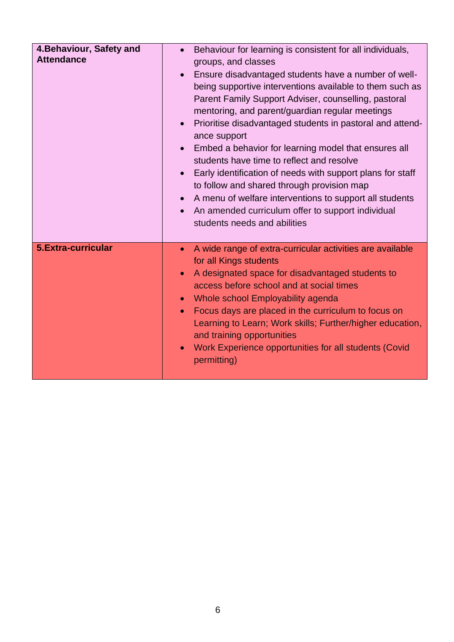| 4. Behaviour, Safety and<br><b>Attendance</b> | Behaviour for learning is consistent for all individuals,<br>$\bullet$<br>groups, and classes<br>Ensure disadvantaged students have a number of well-<br>$\bullet$<br>being supportive interventions available to them such as<br>Parent Family Support Adviser, counselling, pastoral<br>mentoring, and parent/guardian regular meetings<br>Prioritise disadvantaged students in pastoral and attend-<br>$\bullet$<br>ance support<br>Embed a behavior for learning model that ensures all<br>students have time to reflect and resolve<br>Early identification of needs with support plans for staff<br>$\bullet$<br>to follow and shared through provision map<br>A menu of welfare interventions to support all students<br>An amended curriculum offer to support individual<br>students needs and abilities |
|-----------------------------------------------|-------------------------------------------------------------------------------------------------------------------------------------------------------------------------------------------------------------------------------------------------------------------------------------------------------------------------------------------------------------------------------------------------------------------------------------------------------------------------------------------------------------------------------------------------------------------------------------------------------------------------------------------------------------------------------------------------------------------------------------------------------------------------------------------------------------------|
| 5. Extra-curricular                           | A wide range of extra-curricular activities are available<br>$\bullet$<br>for all Kings students<br>A designated space for disadvantaged students to<br>$\bullet$<br>access before school and at social times<br>Whole school Employability agenda<br>$\bullet$<br>Focus days are placed in the curriculum to focus on<br>$\bullet$<br>Learning to Learn; Work skills; Further/higher education,<br>and training opportunities<br>Work Experience opportunities for all students (Covid<br>$\bullet$<br>permitting)                                                                                                                                                                                                                                                                                               |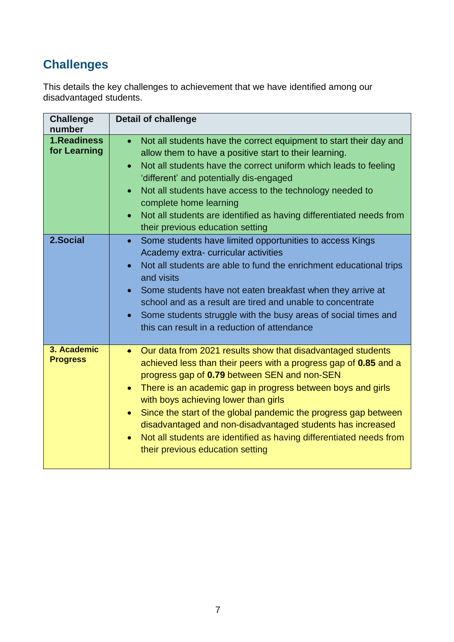# **Challenges**

This details the key challenges to achievement that we have identified among our disadvantaged students.

| <b>Challenge</b><br>number     | <b>Detail of challenge</b>                                                                                                                                                                                                                                                                                                                                                                                                                                                                                                                                                             |
|--------------------------------|----------------------------------------------------------------------------------------------------------------------------------------------------------------------------------------------------------------------------------------------------------------------------------------------------------------------------------------------------------------------------------------------------------------------------------------------------------------------------------------------------------------------------------------------------------------------------------------|
| 1. Readiness<br>for Learning   | Not all students have the correct equipment to start their day and<br>$\bullet$<br>allow them to have a positive start to their learning.<br>Not all students have the correct uniform which leads to feeling<br>$\bullet$<br>'different' and potentially dis-engaged<br>Not all students have access to the technology needed to<br>$\bullet$<br>complete home learning<br>Not all students are identified as having differentiated needs from<br>$\bullet$<br>their previous education setting                                                                                       |
| 2.Social                       | Some students have limited opportunities to access Kings<br>$\bullet$<br>Academy extra-curricular activities<br>Not all students are able to fund the enrichment educational trips<br>$\bullet$<br>and visits<br>Some students have not eaten breakfast when they arrive at<br>$\bullet$<br>school and as a result are tired and unable to concentrate<br>Some students struggle with the busy areas of social times and<br>$\bullet$<br>this can result in a reduction of attendance                                                                                                  |
| 3. Academic<br><b>Progress</b> | Our data from 2021 results show that disadvantaged students<br>$\bullet$<br>achieved less than their peers with a progress gap of 0.85 and a<br>progress gap of 0.79 between SEN and non-SEN<br>There is an academic gap in progress between boys and girls<br>$\bullet$<br>with boys achieving lower than girls<br>Since the start of the global pandemic the progress gap between<br>$\bullet$<br>disadvantaged and non-disadvantaged students has increased<br>Not all students are identified as having differentiated needs from<br>$\bullet$<br>their previous education setting |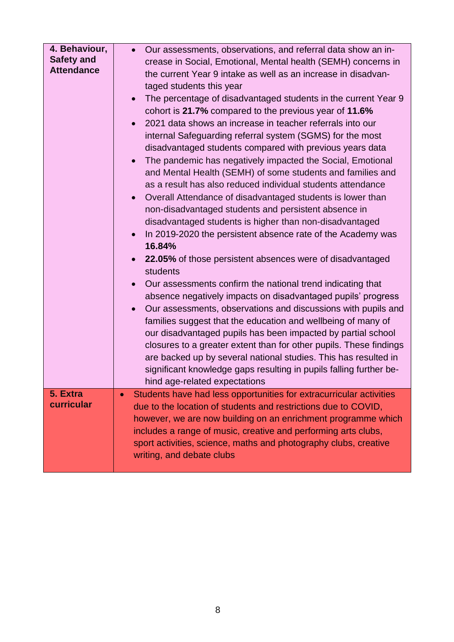| 4. Behaviour,<br><b>Safety and</b><br><b>Attendance</b> | Our assessments, observations, and referral data show an in-<br>$\bullet$<br>crease in Social, Emotional, Mental health (SEMH) concerns in<br>the current Year 9 intake as well as an increase in disadvan-<br>taged students this year<br>The percentage of disadvantaged students in the current Year 9<br>$\bullet$<br>cohort is 21.7% compared to the previous year of 11.6%<br>2021 data shows an increase in teacher referrals into our<br>internal Safeguarding referral system (SGMS) for the most<br>disadvantaged students compared with previous years data<br>The pandemic has negatively impacted the Social, Emotional<br>$\bullet$<br>and Mental Health (SEMH) of some students and families and<br>as a result has also reduced individual students attendance<br>Overall Attendance of disadvantaged students is lower than<br>$\bullet$<br>non-disadvantaged students and persistent absence in<br>disadvantaged students is higher than non-disadvantaged<br>In 2019-2020 the persistent absence rate of the Academy was<br>16.84%<br>22.05% of those persistent absences were of disadvantaged<br>students<br>Our assessments confirm the national trend indicating that<br>absence negatively impacts on disadvantaged pupils' progress<br>Our assessments, observations and discussions with pupils and<br>$\bullet$<br>families suggest that the education and wellbeing of many of<br>our disadvantaged pupils has been impacted by partial school<br>closures to a greater extent than for other pupils. These findings<br>are backed up by several national studies. This has resulted in<br>significant knowledge gaps resulting in pupils falling further be-<br>hind age-related expectations |
|---------------------------------------------------------|----------------------------------------------------------------------------------------------------------------------------------------------------------------------------------------------------------------------------------------------------------------------------------------------------------------------------------------------------------------------------------------------------------------------------------------------------------------------------------------------------------------------------------------------------------------------------------------------------------------------------------------------------------------------------------------------------------------------------------------------------------------------------------------------------------------------------------------------------------------------------------------------------------------------------------------------------------------------------------------------------------------------------------------------------------------------------------------------------------------------------------------------------------------------------------------------------------------------------------------------------------------------------------------------------------------------------------------------------------------------------------------------------------------------------------------------------------------------------------------------------------------------------------------------------------------------------------------------------------------------------------------------------------------------------------------------------------------------------|
| 5. Extra<br>curricular                                  | Students have had less opportunities for extracurricular activities<br>due to the location of students and restrictions due to COVID,<br>however, we are now building on an enrichment programme which<br>includes a range of music, creative and performing arts clubs,<br>sport activities, science, maths and photography clubs, creative<br>writing, and debate clubs                                                                                                                                                                                                                                                                                                                                                                                                                                                                                                                                                                                                                                                                                                                                                                                                                                                                                                                                                                                                                                                                                                                                                                                                                                                                                                                                                  |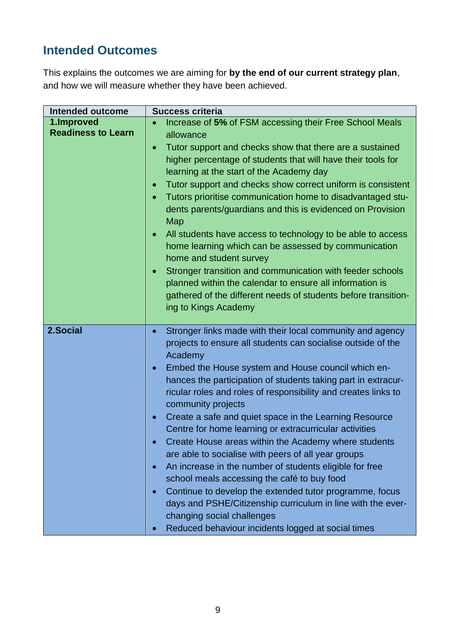# **Intended Outcomes**

This explains the outcomes we are aiming for **by the end of our current strategy plan**, and how we will measure whether they have been achieved.

| <b>Intended outcome</b>                 | <b>Success criteria</b>                                                                                                                                                                                                                                                                                                                                                                                                                                                                                                                                                                                                                                                                                                                                                                                                                                                                                                                                                                                   |
|-----------------------------------------|-----------------------------------------------------------------------------------------------------------------------------------------------------------------------------------------------------------------------------------------------------------------------------------------------------------------------------------------------------------------------------------------------------------------------------------------------------------------------------------------------------------------------------------------------------------------------------------------------------------------------------------------------------------------------------------------------------------------------------------------------------------------------------------------------------------------------------------------------------------------------------------------------------------------------------------------------------------------------------------------------------------|
| 1.Improved<br><b>Readiness to Learn</b> | Increase of 5% of FSM accessing their Free School Meals<br>$\bullet$<br>allowance<br>Tutor support and checks show that there are a sustained<br>$\bullet$<br>higher percentage of students that will have their tools for<br>learning at the start of the Academy day<br>Tutor support and checks show correct uniform is consistent<br>$\bullet$<br>Tutors prioritise communication home to disadvantaged stu-<br>$\bullet$<br>dents parents/guardians and this is evidenced on Provision<br>Map<br>All students have access to technology to be able to access<br>$\bullet$<br>home learning which can be assessed by communication<br>home and student survey<br>Stronger transition and communication with feeder schools<br>$\bullet$<br>planned within the calendar to ensure all information is<br>gathered of the different needs of students before transition-<br>ing to Kings Academy                                                                                                         |
| 2.Social                                | Stronger links made with their local community and agency<br>$\bullet$<br>projects to ensure all students can socialise outside of the<br>Academy<br>Embed the House system and House council which en-<br>$\bullet$<br>hances the participation of students taking part in extracur-<br>ricular roles and roles of responsibility and creates links to<br>community projects<br>Create a safe and quiet space in the Learning Resource<br>$\bullet$<br>Centre for home learning or extracurricular activities<br>Create House areas within the Academy where students<br>$\bullet$<br>are able to socialise with peers of all year groups<br>An increase in the number of students eligible for free<br>$\bullet$<br>school meals accessing the café to buy food<br>Continue to develop the extended tutor programme, focus<br>$\bullet$<br>days and PSHE/Citizenship curriculum in line with the ever-<br>changing social challenges<br>Reduced behaviour incidents logged at social times<br>$\bullet$ |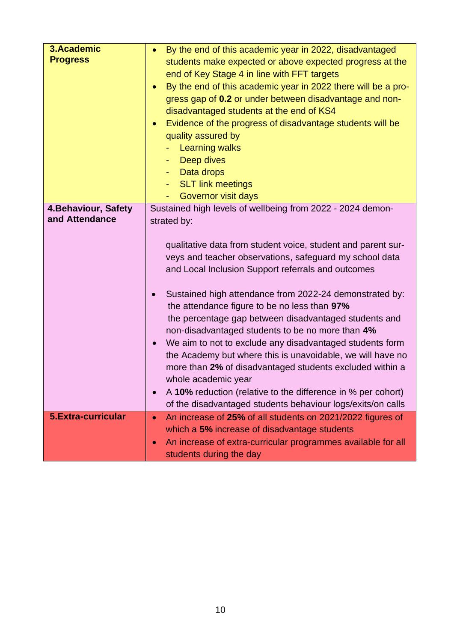| 3.Academic                             | By the end of this academic year in 2022, disadvantaged<br>$\bullet$       |
|----------------------------------------|----------------------------------------------------------------------------|
| <b>Progress</b>                        | students make expected or above expected progress at the                   |
|                                        | end of Key Stage 4 in line with FFT targets                                |
|                                        | By the end of this academic year in 2022 there will be a pro-<br>$\bullet$ |
|                                        | gress gap of 0.2 or under between disadvantage and non-                    |
|                                        | disadvantaged students at the end of KS4                                   |
|                                        | Evidence of the progress of disadvantage students will be<br>$\bullet$     |
|                                        | quality assured by                                                         |
|                                        | <b>Learning walks</b>                                                      |
|                                        | Deep dives                                                                 |
|                                        | Data drops<br>н.                                                           |
|                                        | <b>SLT link meetings</b><br>٠                                              |
|                                        | Governor visit days                                                        |
| 4. Behaviour, Safety<br>and Attendance | Sustained high levels of wellbeing from 2022 - 2024 demon-                 |
|                                        | strated by:                                                                |
|                                        |                                                                            |
|                                        | qualitative data from student voice, student and parent sur-               |
|                                        | veys and teacher observations, safeguard my school data                    |
|                                        | and Local Inclusion Support referrals and outcomes                         |
|                                        | Sustained high attendance from 2022-24 demonstrated by:<br>$\bullet$       |
|                                        | the attendance figure to be no less than 97%                               |
|                                        | the percentage gap between disadvantaged students and                      |
|                                        | non-disadvantaged students to be no more than 4%                           |
|                                        | We aim to not to exclude any disadvantaged students form<br>$\bullet$      |
|                                        | the Academy but where this is unavoidable, we will have no                 |
|                                        | more than 2% of disadvantaged students excluded within a                   |
|                                        | whole academic year                                                        |
|                                        | A 10% reduction (relative to the difference in % per cohort)<br>$\bullet$  |
|                                        | of the disadvantaged students behaviour logs/exits/on calls                |
| 5. Extra-curricular                    | An increase of 25% of all students on 2021/2022 figures of<br>$\bullet$    |
|                                        | which a 5% increase of disadvantage students                               |
|                                        | An increase of extra-curricular programmes available for all<br>$\bullet$  |
|                                        | students during the day                                                    |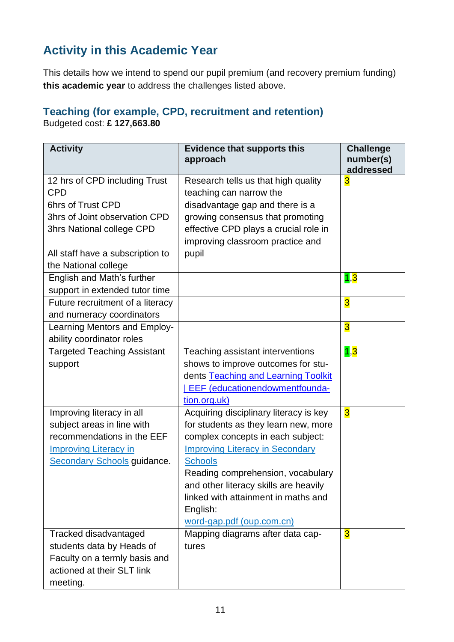# **Activity in this Academic Year**

This details how we intend to spend our pupil premium (and recovery premium funding) **this academic year** to address the challenges listed above.

### **Teaching (for example, CPD, recruitment and retention)**

Budgeted cost: **£ 127,663.80**

| <b>Activity</b>                                                                                                                                                                            | <b>Evidence that supports this</b><br>approach                                                                                                                                                                                                                                                                                                | <b>Challenge</b><br>number(s)<br>addressed |
|--------------------------------------------------------------------------------------------------------------------------------------------------------------------------------------------|-----------------------------------------------------------------------------------------------------------------------------------------------------------------------------------------------------------------------------------------------------------------------------------------------------------------------------------------------|--------------------------------------------|
| 12 hrs of CPD including Trust<br><b>CPD</b><br>6hrs of Trust CPD<br>3hrs of Joint observation CPD<br>3hrs National college CPD<br>All staff have a subscription to<br>the National college | Research tells us that high quality<br>teaching can narrow the<br>disadvantage gap and there is a<br>growing consensus that promoting<br>effective CPD plays a crucial role in<br>improving classroom practice and<br>pupil                                                                                                                   | $\overline{\mathbf{3}}$                    |
| English and Math's further<br>support in extended tutor time                                                                                                                               |                                                                                                                                                                                                                                                                                                                                               | 1,3                                        |
| Future recruitment of a literacy<br>and numeracy coordinators                                                                                                                              |                                                                                                                                                                                                                                                                                                                                               | $\overline{\mathbf{3}}$                    |
| Learning Mentors and Employ-<br>ability coordinator roles                                                                                                                                  |                                                                                                                                                                                                                                                                                                                                               | $\overline{\mathbf{3}}$                    |
| <b>Targeted Teaching Assistant</b><br>support                                                                                                                                              | Teaching assistant interventions<br>shows to improve outcomes for stu-<br>dents Teaching and Learning Toolkit<br><b>EEF</b> (educationendowmentfounda-<br>tion.org.uk)                                                                                                                                                                        | 1,3                                        |
| Improving literacy in all<br>subject areas in line with<br>recommendations in the EEF<br><b>Improving Literacy in</b><br>Secondary Schools guidance.                                       | Acquiring disciplinary literacy is key<br>for students as they learn new, more<br>complex concepts in each subject:<br><b>Improving Literacy in Secondary</b><br><b>Schools</b><br>Reading comprehension, vocabulary<br>and other literacy skills are heavily<br>linked with attainment in maths and<br>English:<br>word-gap.pdf (oup.com.cn) | $\overline{\mathbf{3}}$                    |
| Tracked disadvantaged<br>students data by Heads of<br>Faculty on a termly basis and<br>actioned at their SLT link<br>meeting.                                                              | Mapping diagrams after data cap-<br>tures                                                                                                                                                                                                                                                                                                     | $\overline{\mathbf{3}}$                    |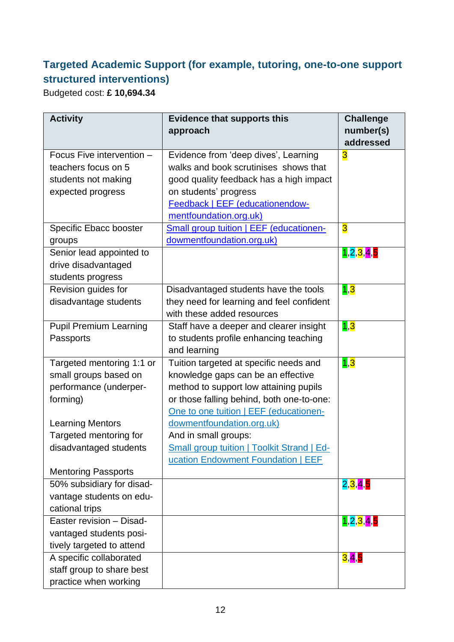### **Targeted Academic Support (for example, tutoring, one-to-one support structured interventions)**

Budgeted cost: **£ 10,694.34**

| <b>Activity</b>               | <b>Evidence that supports this</b>                | <b>Challenge</b>        |
|-------------------------------|---------------------------------------------------|-------------------------|
|                               | approach                                          | number(s)<br>addressed  |
| Focus Five intervention -     | Evidence from 'deep dives', Learning              | $\overline{\mathbf{3}}$ |
| teachers focus on 5           | walks and book scrutinises shows that             |                         |
| students not making           | good quality feedback has a high impact           |                         |
| expected progress             | on students' progress                             |                         |
|                               | Feedback   EEF (educationendow-                   |                         |
|                               | mentfoundation.org.uk)                            |                         |
| Specific Ebacc booster        | Small group tuition   EEF (educationen-           | $\overline{\mathbf{3}}$ |
| groups                        | dowmentfoundation.org.uk)                         |                         |
| Senior lead appointed to      |                                                   | 1, 2, 3, 4, 5           |
| drive disadvantaged           |                                                   |                         |
| students progress             |                                                   |                         |
| Revision guides for           | Disadvantaged students have the tools             | 1,3                     |
| disadvantage students         | they need for learning and feel confident         |                         |
|                               | with these added resources                        |                         |
| <b>Pupil Premium Learning</b> | Staff have a deeper and clearer insight           | 1,3                     |
| Passports                     | to students profile enhancing teaching            |                         |
|                               | and learning                                      |                         |
| Targeted mentoring 1:1 or     | Tuition targeted at specific needs and            | 1,3                     |
| small groups based on         | knowledge gaps can be an effective                |                         |
| performance (underper-        | method to support low attaining pupils            |                         |
| forming)                      | or those falling behind, both one-to-one:         |                         |
|                               | One to one tuition   EEF (educationen-            |                         |
| <b>Learning Mentors</b>       | dowmentfoundation.org.uk)                         |                         |
| Targeted mentoring for        | And in small groups:                              |                         |
| disadvantaged students        | <b>Small group tuition   Toolkit Strand   Ed-</b> |                         |
|                               | ucation Endowment Foundation   EEF                |                         |
| <b>Mentoring Passports</b>    |                                                   |                         |
| 50% subsidiary for disad-     |                                                   | 2,3,4,5                 |
| vantage students on edu-      |                                                   |                         |
| cational trips                |                                                   |                         |
| Easter revision - Disad-      |                                                   | 1, 2, 3, 4, 5           |
| vantaged students posi-       |                                                   |                         |
| tively targeted to attend     |                                                   |                         |
| A specific collaborated       |                                                   | 3,4,5                   |
| staff group to share best     |                                                   |                         |
| practice when working         |                                                   |                         |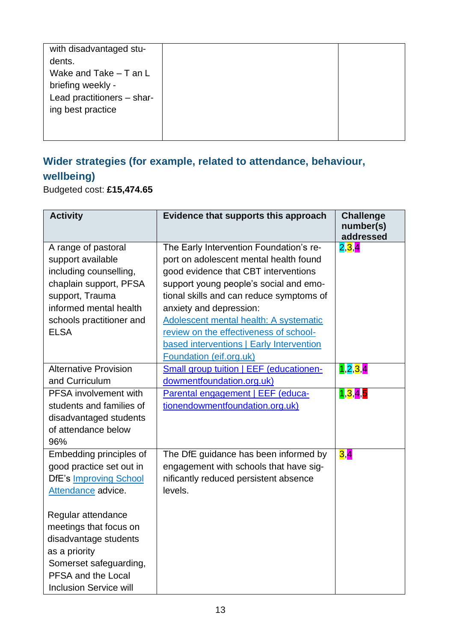|--|

### **Wider strategies (for example, related to attendance, behaviour, wellbeing)**

Budgeted cost: **£15,474.65**

| <b>Activity</b>                                                                                                                                                                                                                                                                       | Evidence that supports this approach                                                                                                                                                                                                                                                                                                                                       | <b>Challenge</b><br>number(s)<br>addressed |
|---------------------------------------------------------------------------------------------------------------------------------------------------------------------------------------------------------------------------------------------------------------------------------------|----------------------------------------------------------------------------------------------------------------------------------------------------------------------------------------------------------------------------------------------------------------------------------------------------------------------------------------------------------------------------|--------------------------------------------|
| A range of pastoral<br>support available<br>including counselling,<br>chaplain support, PFSA<br>support, Trauma<br>informed mental health<br>schools practitioner and<br><b>ELSA</b>                                                                                                  | The Early Intervention Foundation's re-<br>port on adolescent mental health found<br>good evidence that CBT interventions<br>support young people's social and emo-<br>tional skills and can reduce symptoms of<br>anxiety and depression:<br>Adolescent mental health: A systematic<br>review on the effectiveness of school-<br>based interventions   Early Intervention | 2,3,4                                      |
| <b>Alternative Provision</b>                                                                                                                                                                                                                                                          | Foundation (eif.org.uk)<br>Small group tuition   EEF (educationen-                                                                                                                                                                                                                                                                                                         | 1,2,3,4                                    |
| and Curriculum<br>PFSA involvement with<br>students and families of<br>disadvantaged students<br>of attendance below<br>96%                                                                                                                                                           | dowmentfoundation.org.uk)<br>Parental engagement   EEF (educa-<br>tionendowmentfoundation.org.uk)                                                                                                                                                                                                                                                                          | 1,3,4,5                                    |
| Embedding principles of<br>good practice set out in<br><b>DfE's Improving School</b><br>Attendance advice.<br>Regular attendance<br>meetings that focus on<br>disadvantage students<br>as a priority<br>Somerset safeguarding,<br>PFSA and the Local<br><b>Inclusion Service will</b> | The DfE guidance has been informed by<br>engagement with schools that have sig-<br>nificantly reduced persistent absence<br>levels.                                                                                                                                                                                                                                        | 3,4                                        |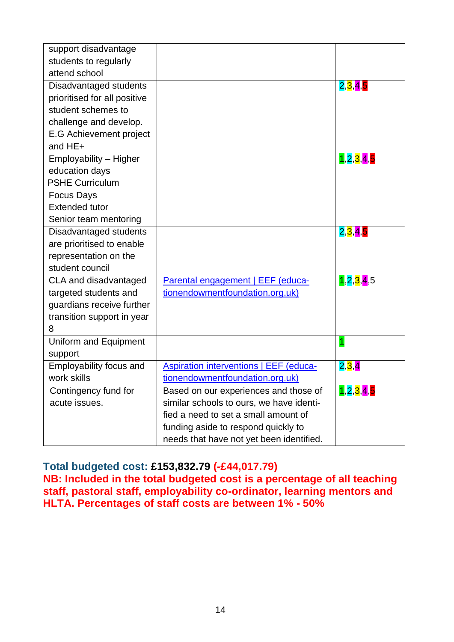| support disadvantage<br>students to regularly<br>attend school                                                                               |                                                                                                                                                                                                              |               |
|----------------------------------------------------------------------------------------------------------------------------------------------|--------------------------------------------------------------------------------------------------------------------------------------------------------------------------------------------------------------|---------------|
| Disadvantaged students<br>prioritised for all positive<br>student schemes to<br>challenge and develop.<br>E.G Achievement project<br>and HE+ |                                                                                                                                                                                                              | 2,3,4,5       |
| Employability - Higher<br>education days<br><b>PSHE Curriculum</b><br><b>Focus Days</b><br><b>Extended tutor</b><br>Senior team mentoring    |                                                                                                                                                                                                              | 1, 2, 3, 4, 5 |
| Disadvantaged students<br>are prioritised to enable<br>representation on the<br>student council                                              |                                                                                                                                                                                                              | 2,3,4,5       |
| CLA and disadvantaged<br>targeted students and<br>guardians receive further<br>transition support in year<br>8                               | Parental engagement   EEF (educa-<br>tionendowmentfoundation.org.uk)                                                                                                                                         | 1,2,3,4,5     |
| Uniform and Equipment<br>support                                                                                                             |                                                                                                                                                                                                              | $\mathbf{1}$  |
| Employability focus and<br>work skills                                                                                                       | <b>Aspiration interventions   EEF (educa-</b><br>tionendowmentfoundation.org.uk)                                                                                                                             | 2,3,4         |
| Contingency fund for<br>acute issues.                                                                                                        | Based on our experiences and those of<br>similar schools to ours, we have identi-<br>fied a need to set a small amount of<br>funding aside to respond quickly to<br>needs that have not yet been identified. | 1, 2, 3, 4, 5 |

**Total budgeted cost: £153,832.79 (-£44,017.79)**

**NB: Included in the total budgeted cost is a percentage of all teaching staff, pastoral staff, employability co-ordinator, learning mentors and HLTA. Percentages of staff costs are between 1% - 50%**